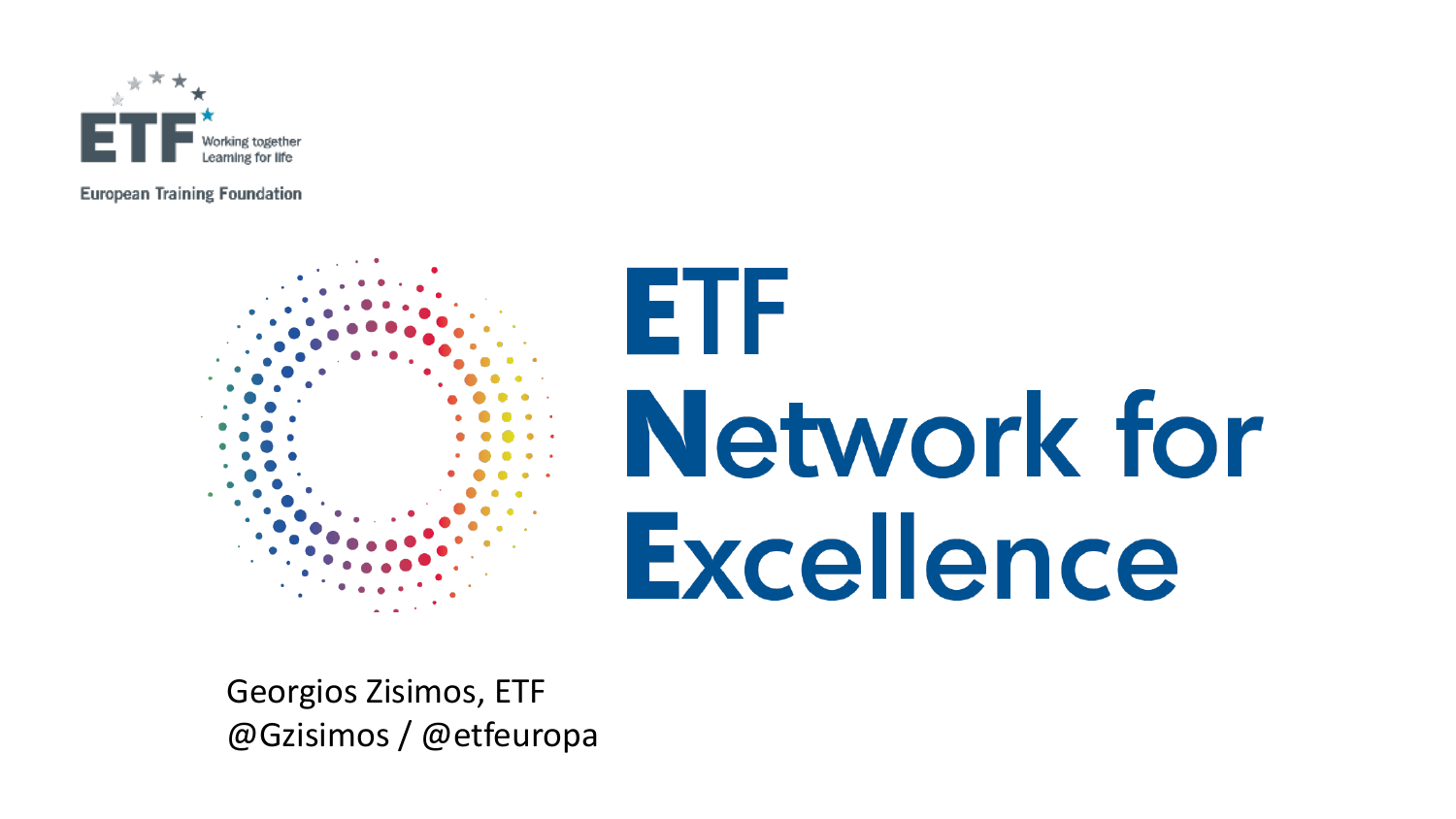

**European Training Foundation** 



# ETF **Network for Excellence**

Georgios Zisimos, ETF @Gzisimos / @etfeuropa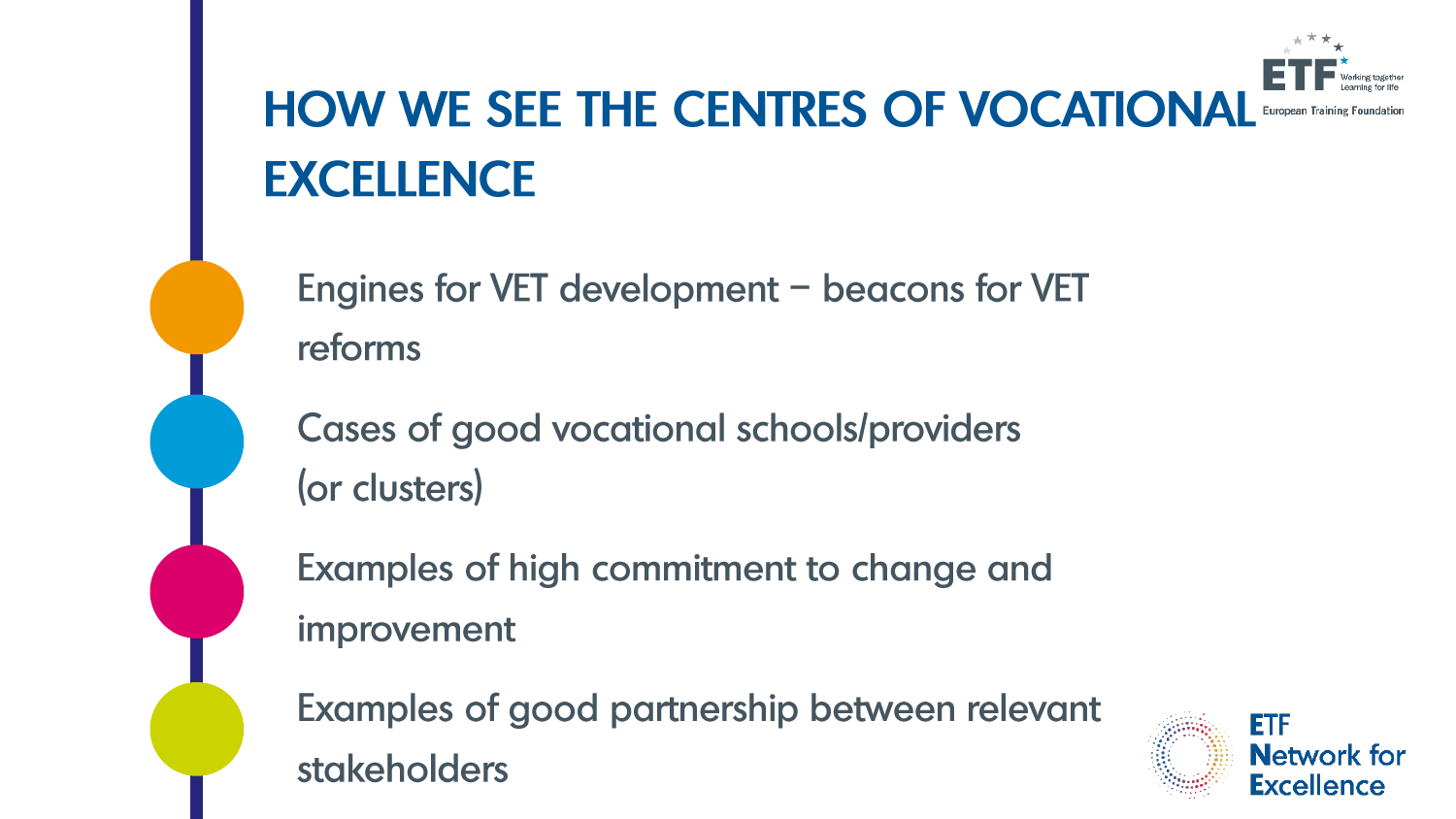

# **HOW WE SEE THE CENTRES OF VOCATIONAL EXCELLENCE**

Engines for VET development - beacons for VET reforms

Cases of good vocational schools/providers (or clusters)

Examples of high commitment to change and improvement

Examples of good partnership between relevant stakeholders

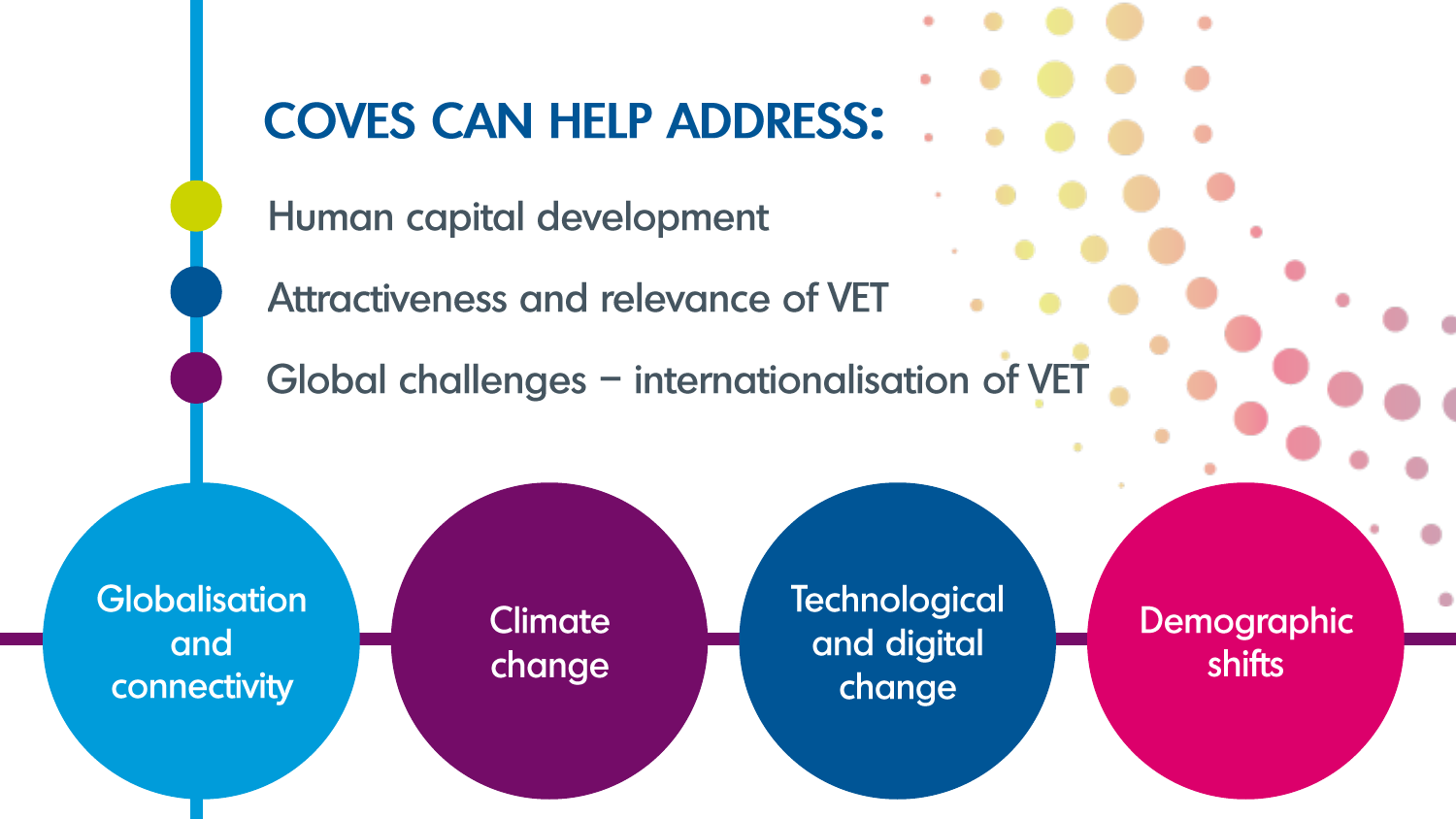

Human capital development

Attractiveness and relevance of VET

Global challenges - internationalisation of VET

**Globalisation** and connectivity

**Climate** change **Technological** and digital change

Demographic shifts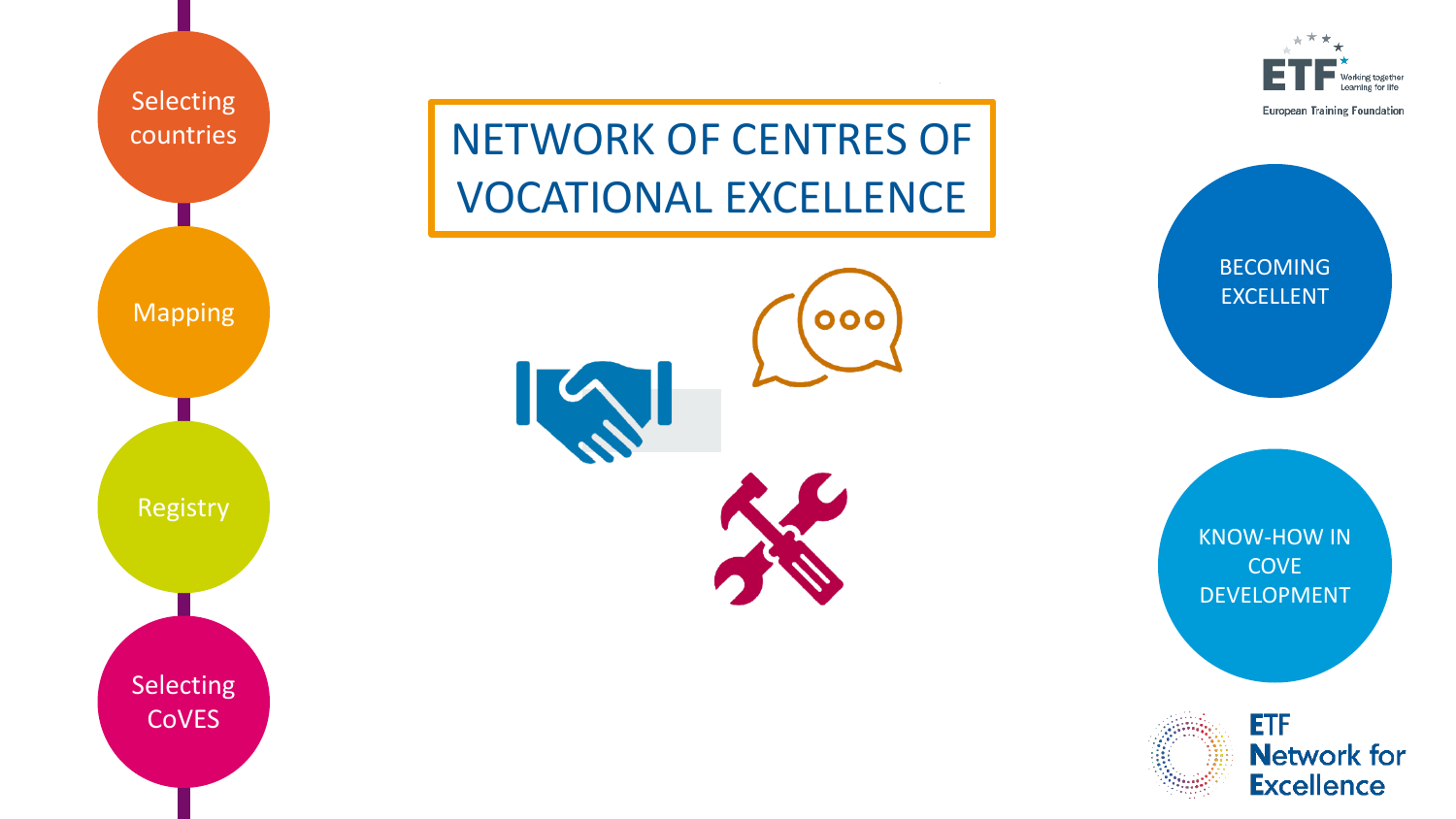

orking together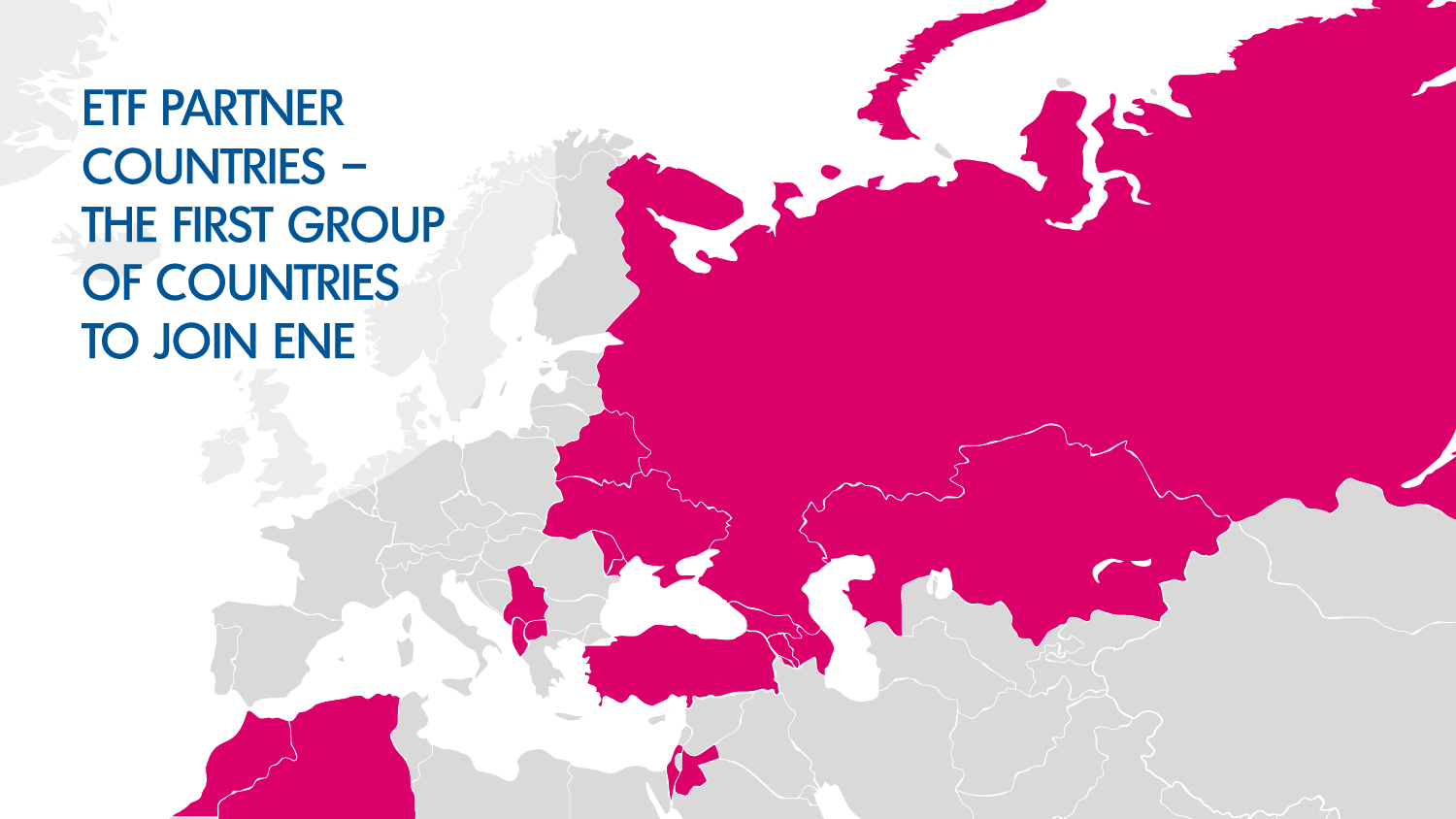# **ETF PARTNER COUNTRIES -**THE FIRST GROUP OF COUNTRIES **TO JOIN ENE**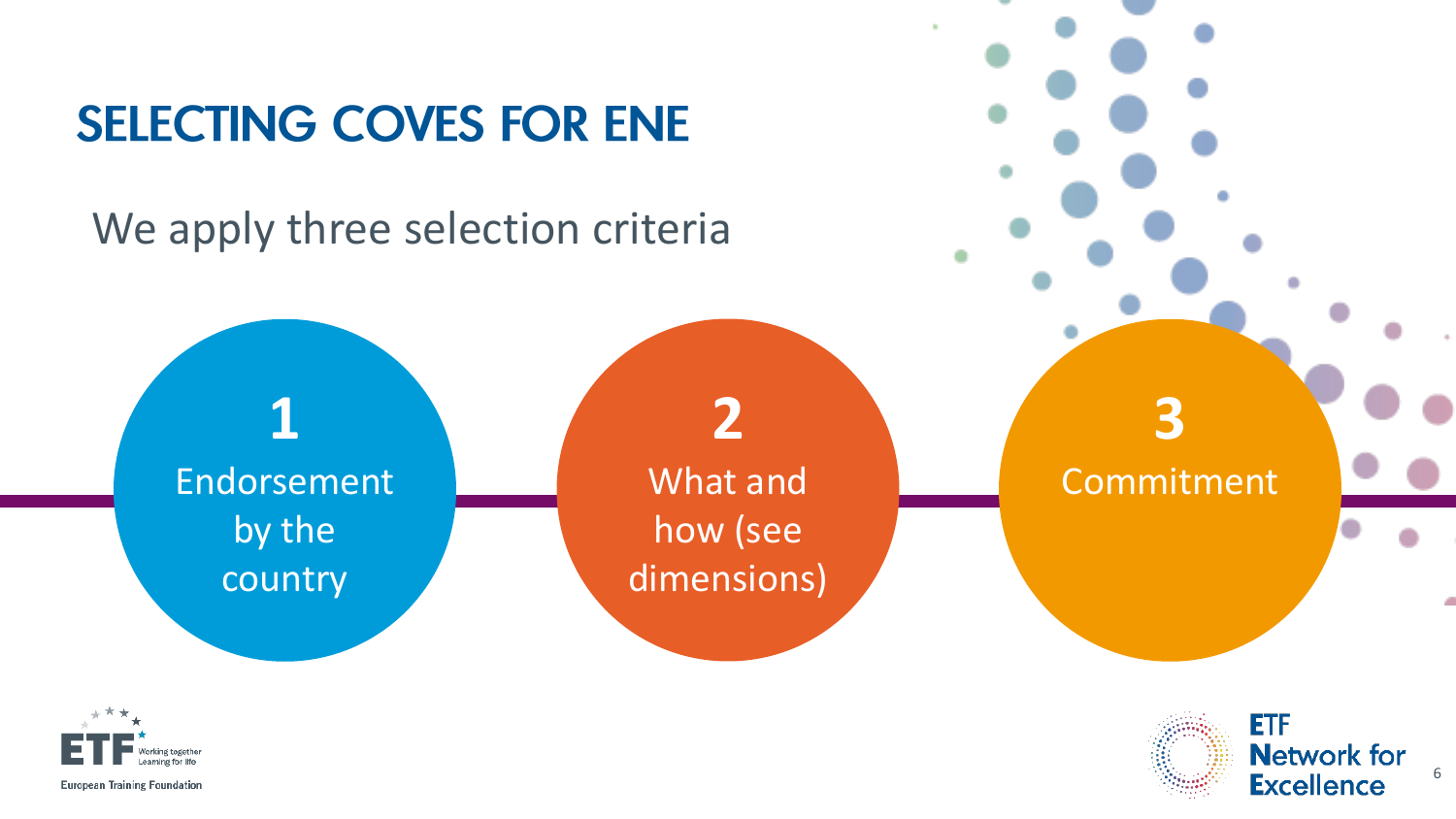## **SELECTING COVES FOR ENE**

We apply three selection criteria





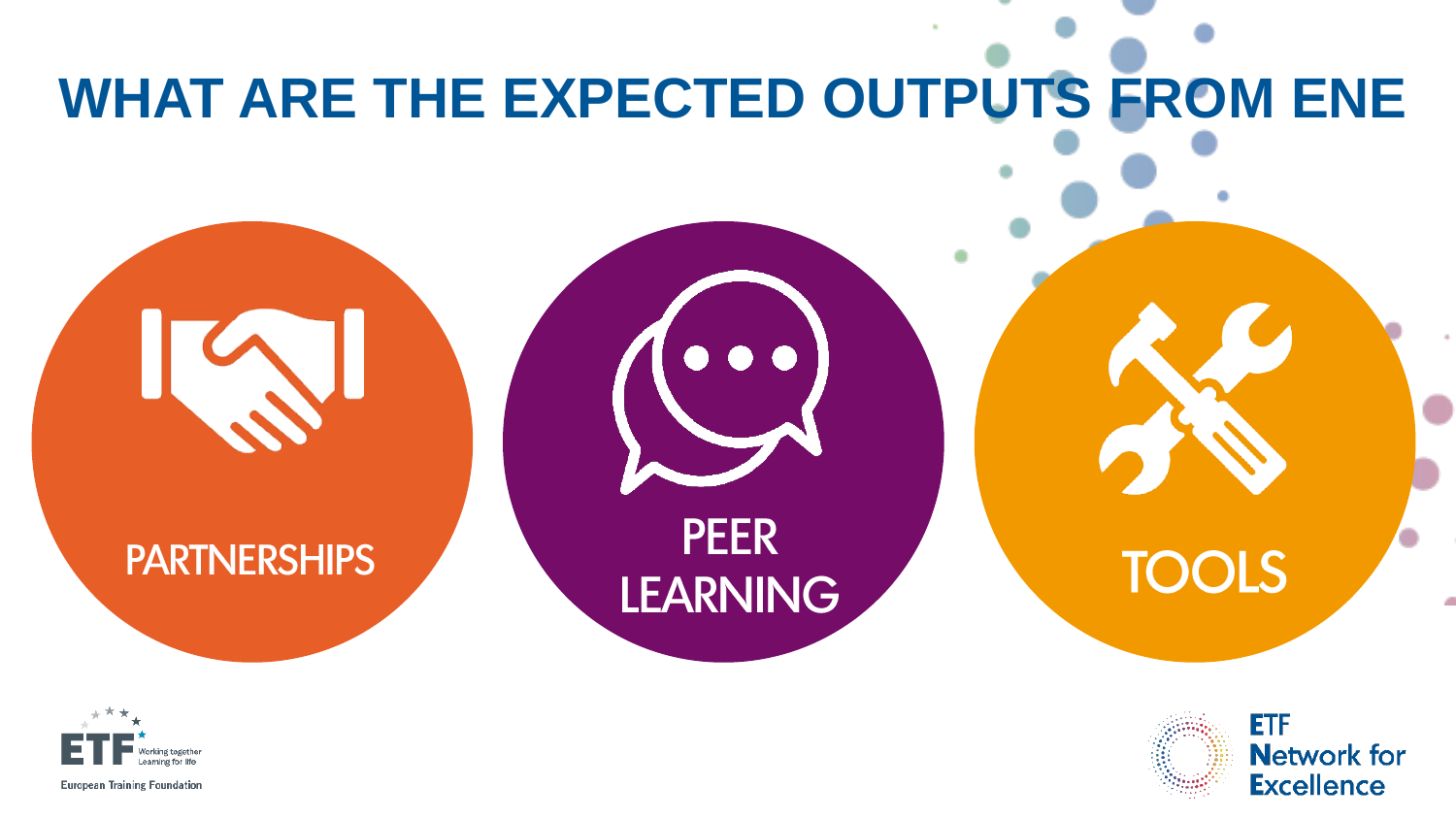# WHAT ARE THE EXPECTED OUTPUTS FROM ENE

#### **PARTNERSHIPS**





**TOOLS** 

**ETF Network for Excellence** 



**European Training Foundation**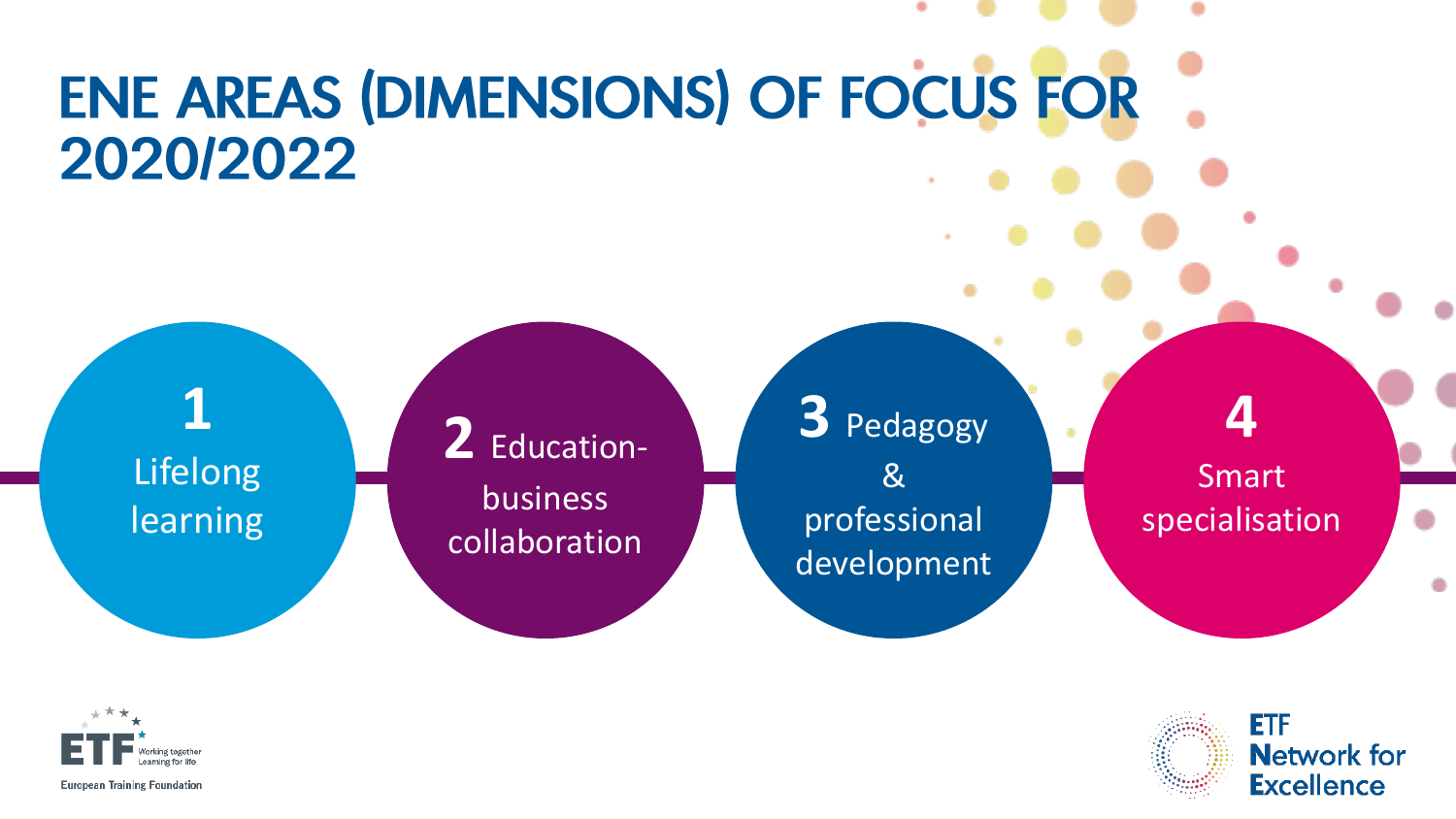# **ENE AREAS (DIMENSIONS) OF FOCUS FOR** 2020/2022

**1**  Lifelong learning

**2** Education business collaboration

**3** Pedagogy & professional development

**4**  Smart specialisation



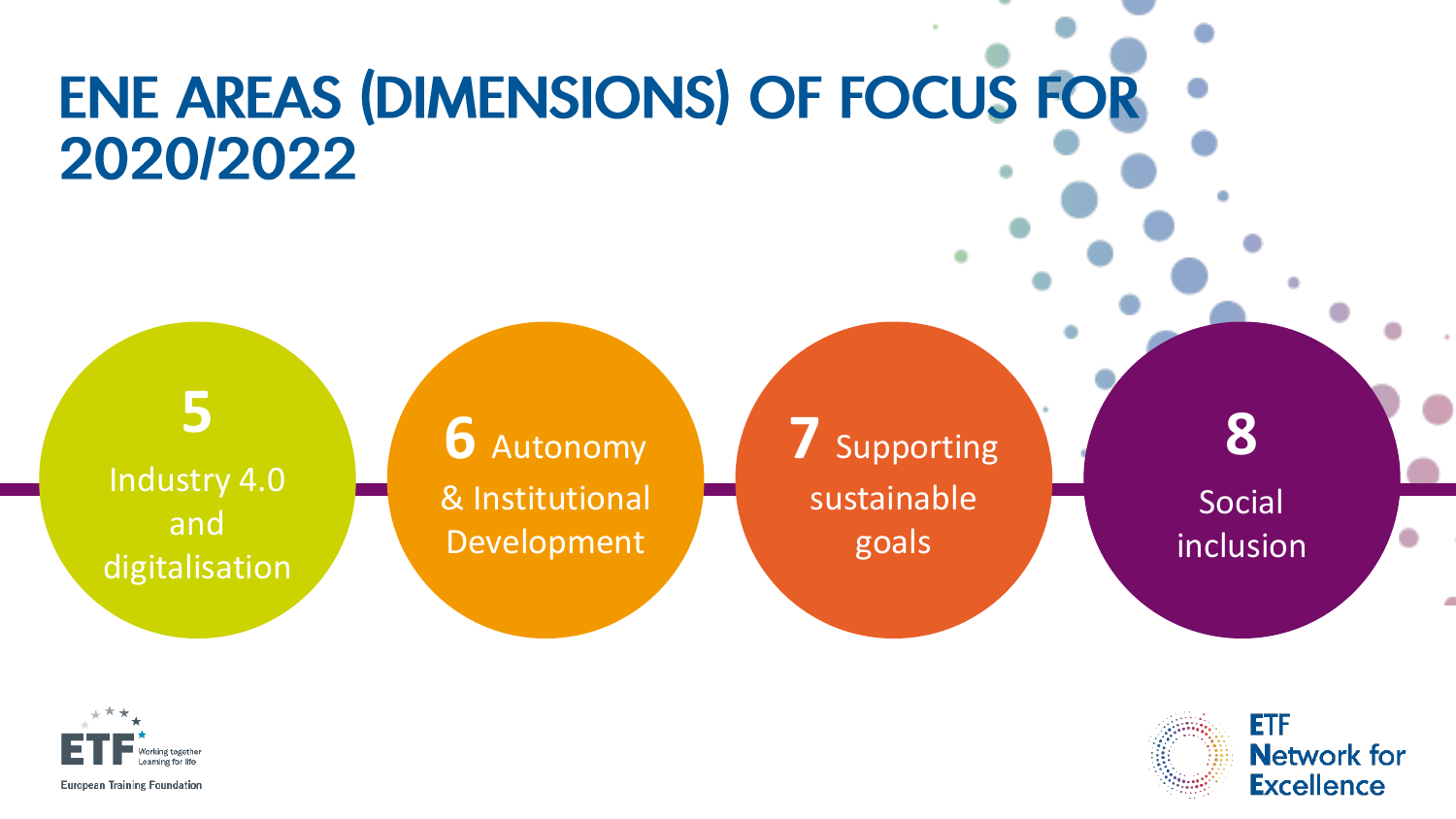# **ENE AREAS (DIMENSIONS) OF FOCUS FOR** 2020/2022

Industry 4.0 and digitalisation

**5** 

**6** Autonomy & Institutional Development

**7** Supporting sustainable goals

**8**  Social inclusion





**European Training Foundation**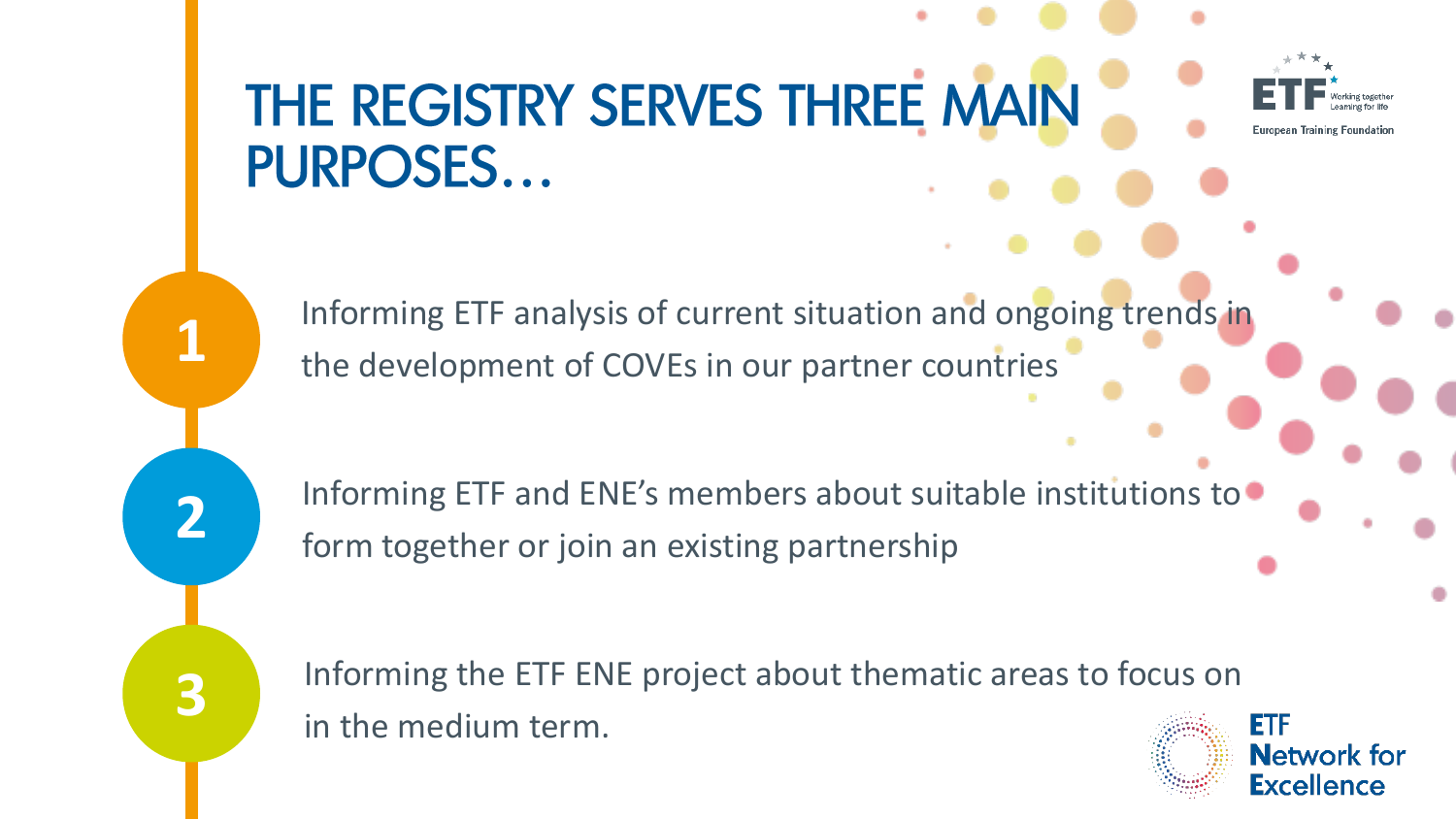# THE REGISTRY SERVES THREE MAIN **PURPOSES...**

Informing ETF analysis of current situation and ongoing trends in the development of COVEs in our partner countries

**1**

**2**

**3**

Informing ETF and ENE's members about suitable institutions to form together or join an existing partnership

Informing the ETF ENE project about thematic areas to focus on in the medium term.

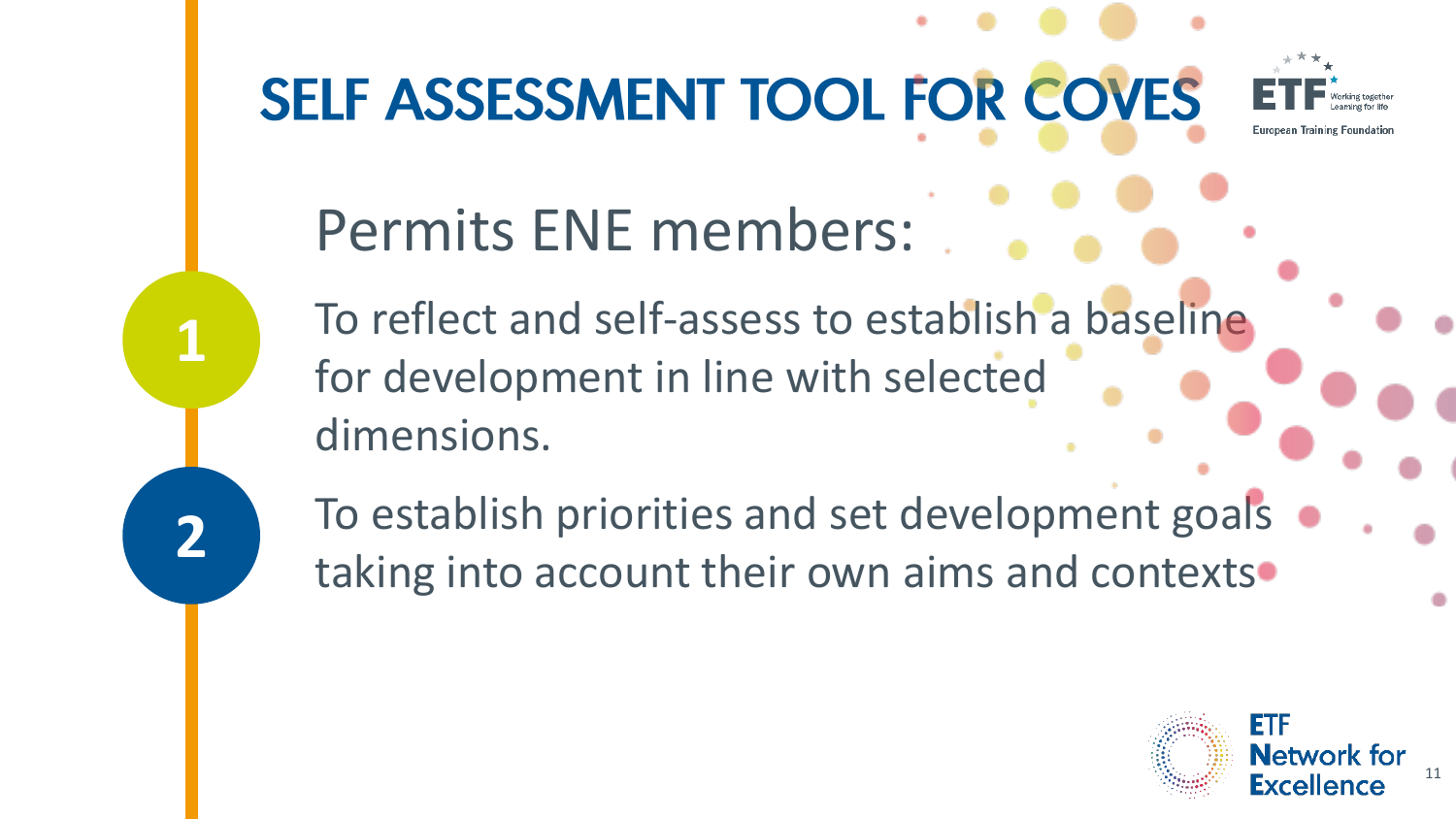

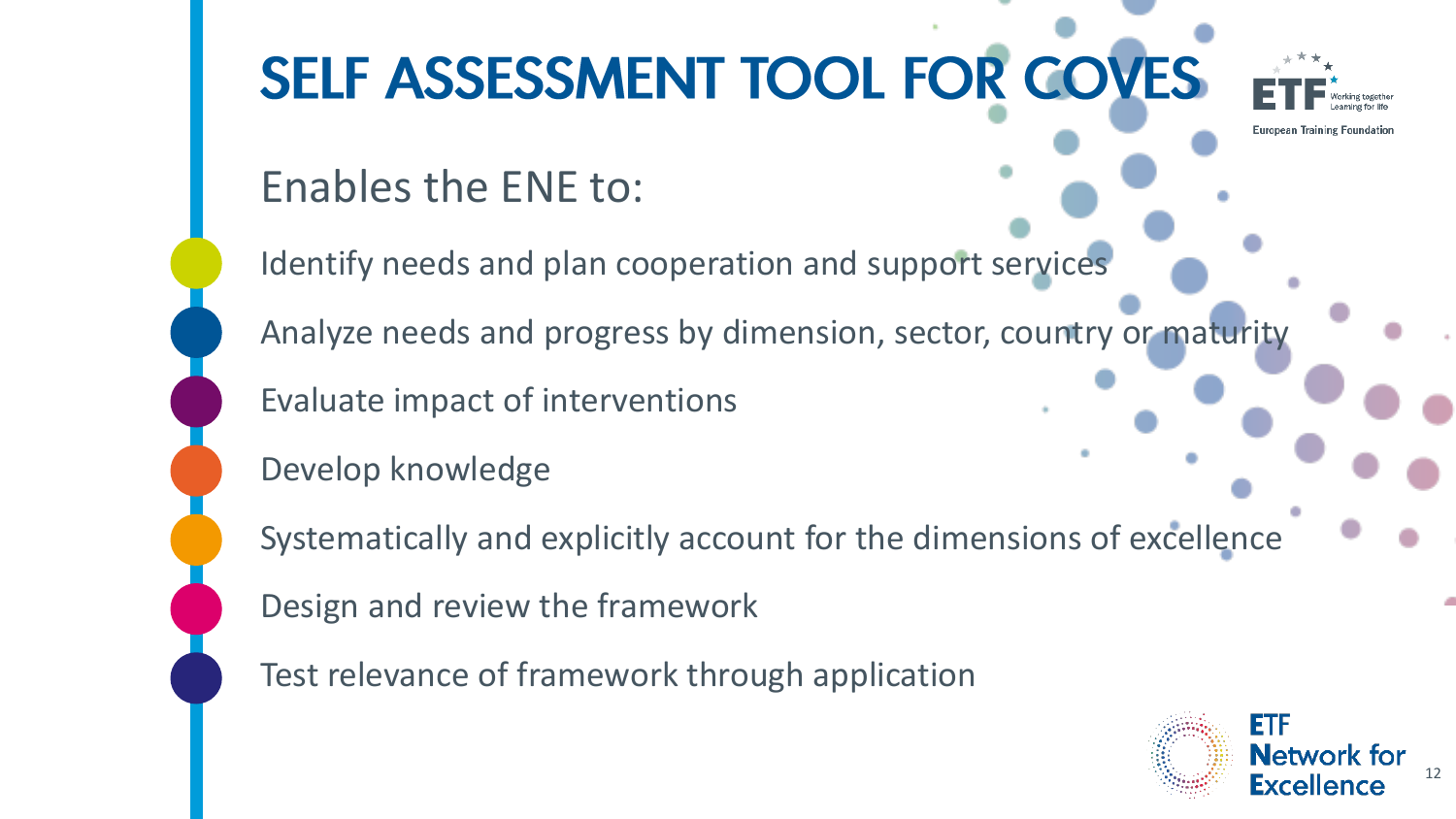

**Network for** Excellence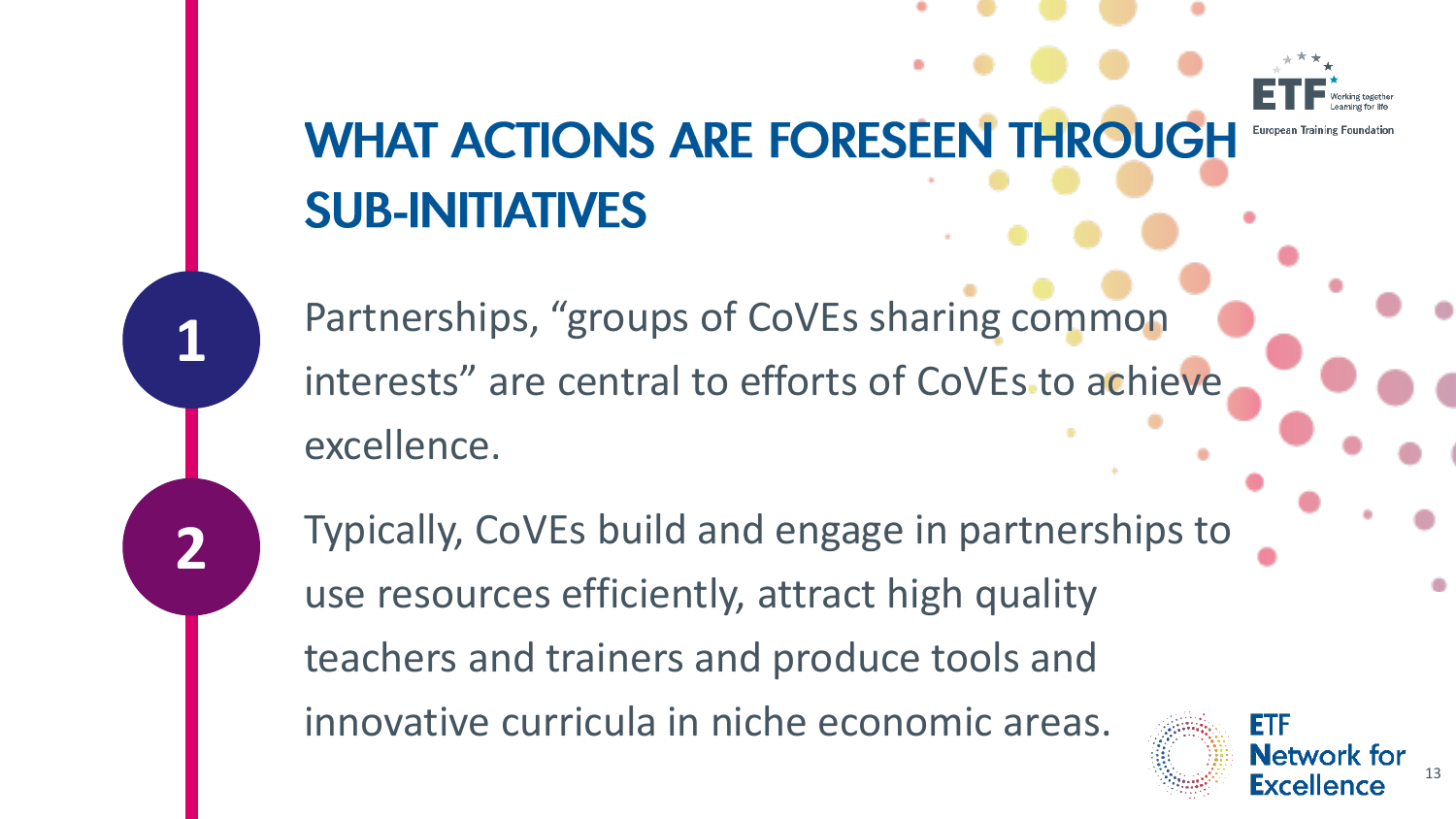# **WHAT ACTIONS ARE FORESEEN THROUGH SUB-INITIATIVES**

Partnerships, "groups of CoVEs sharing common interests" are central to efforts of CoVEs to achieve excellence.

**1**

**2**

Typically, CoVEs build and engage in partnerships to use resources efficiently, attract high quality teachers and trainers and produce tools and innovative curricula in niche economic areas.

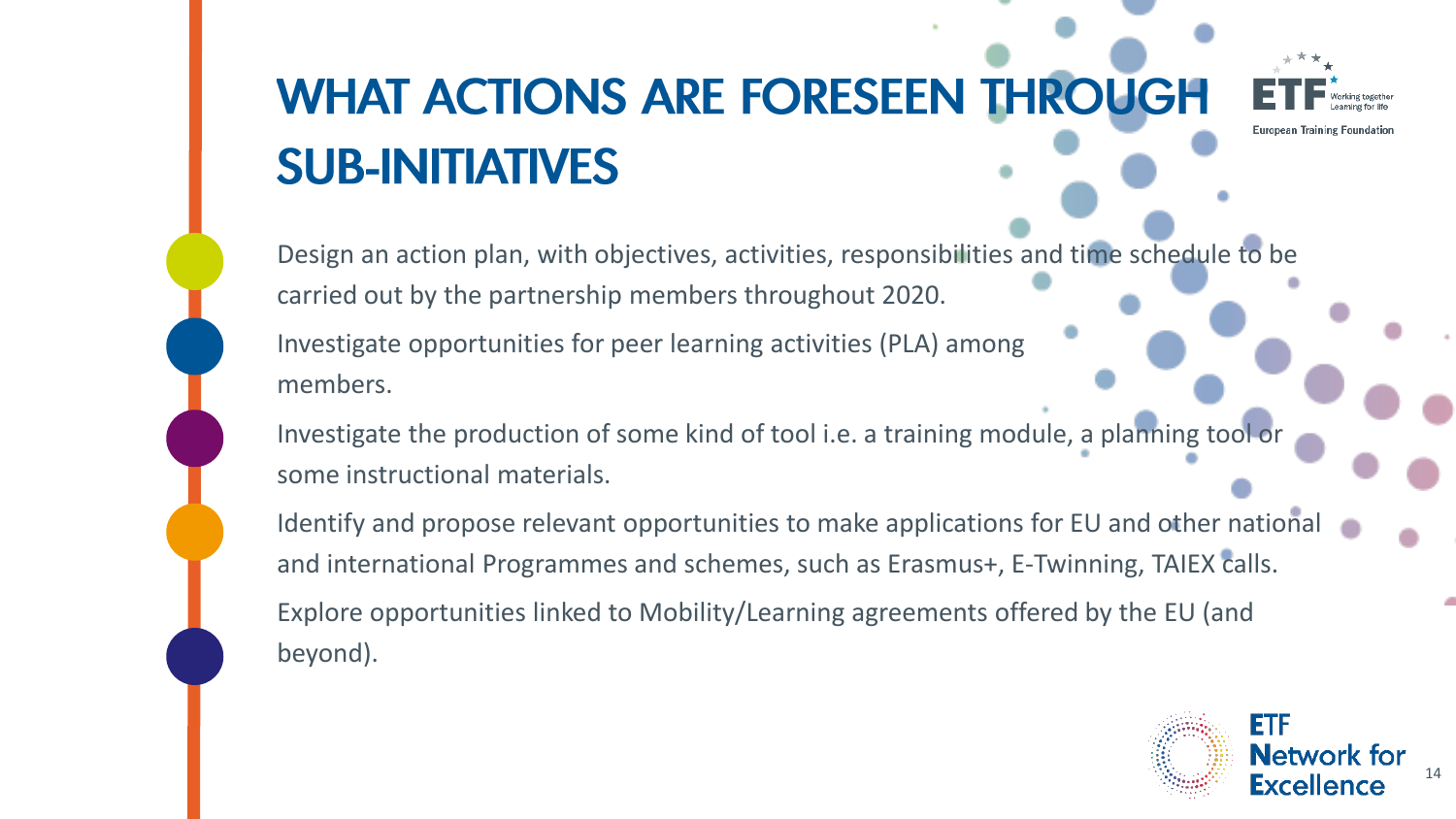# **WHAT ACTIONS ARE FORESEEN THROUGH SUB-INITIATIVES**

European Training Foundation

Design an action plan, with objectives, activities, responsibilities and time schedule to be carried out by the partnership members throughout 2020.

Investigate opportunities for peer learning activities (PLA) among members.

Investigate the production of some kind of tool i.e. a training module, a planning tool or some instructional materials.

Identify and propose relevant opportunities to make applications for EU and other national and international Programmes and schemes, such as Erasmus+, E-Twinning, TAIEX calls. Explore opportunities linked to Mobility/Learning agreements offered by the EU (and beyond).

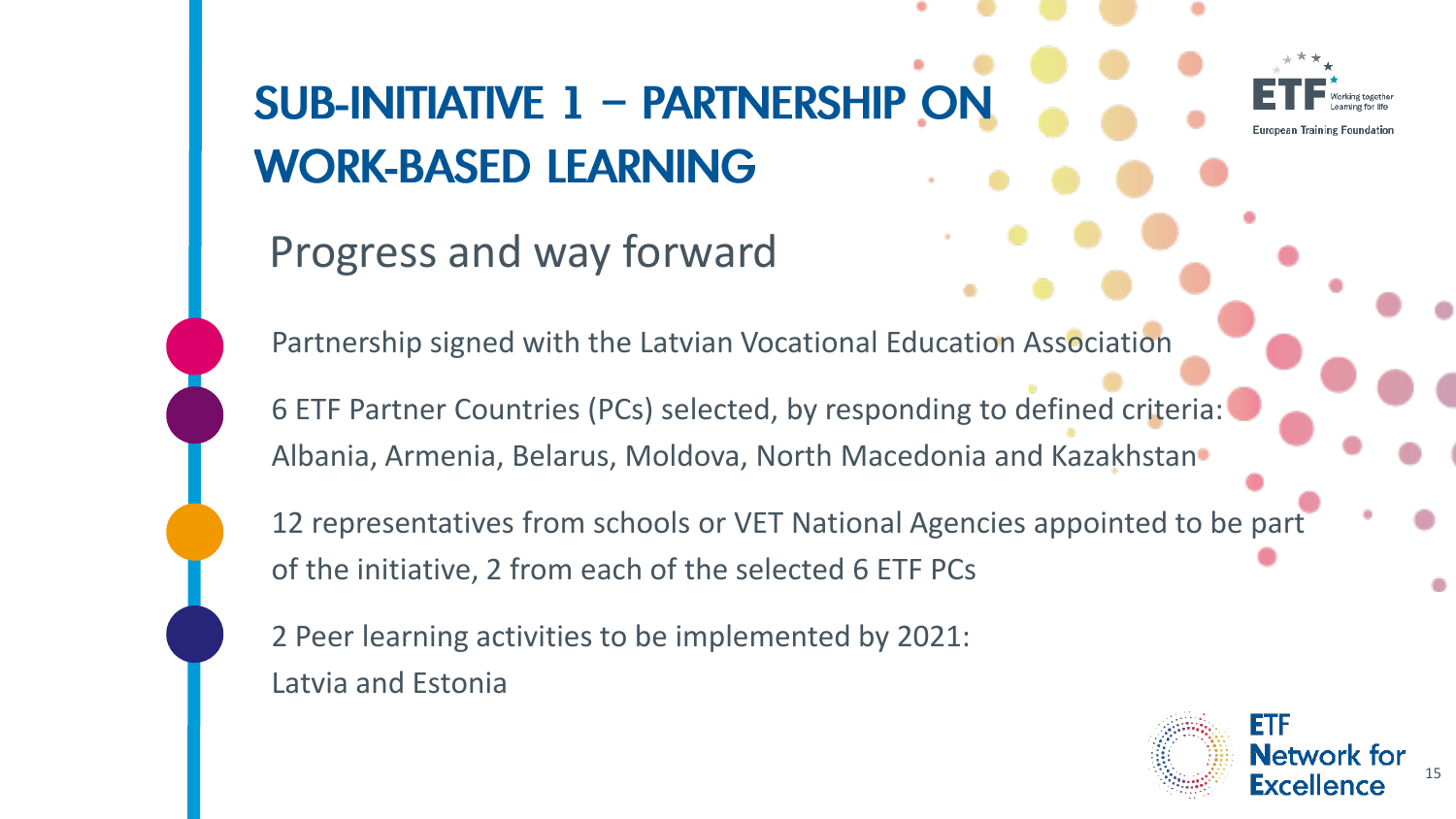# **SUB-INITIATIVE 1 - PARTNERSHIP ON WORK-BASED LEARNING**



Progress and way forward

Partnership signed with the Latvian Vocational Education Association

6 ETF Partner Countries (PCs) selected, by responding to defined criteria: Albania, Armenia, Belarus, Moldova, North Macedonia and Kazakhstan

12 representatives from schools or VET National Agencies appointed to be part of the initiative, 2 from each of the selected 6 ETF PCs

2 Peer learning activities to be implemented by 2021: Latvia and Estonia

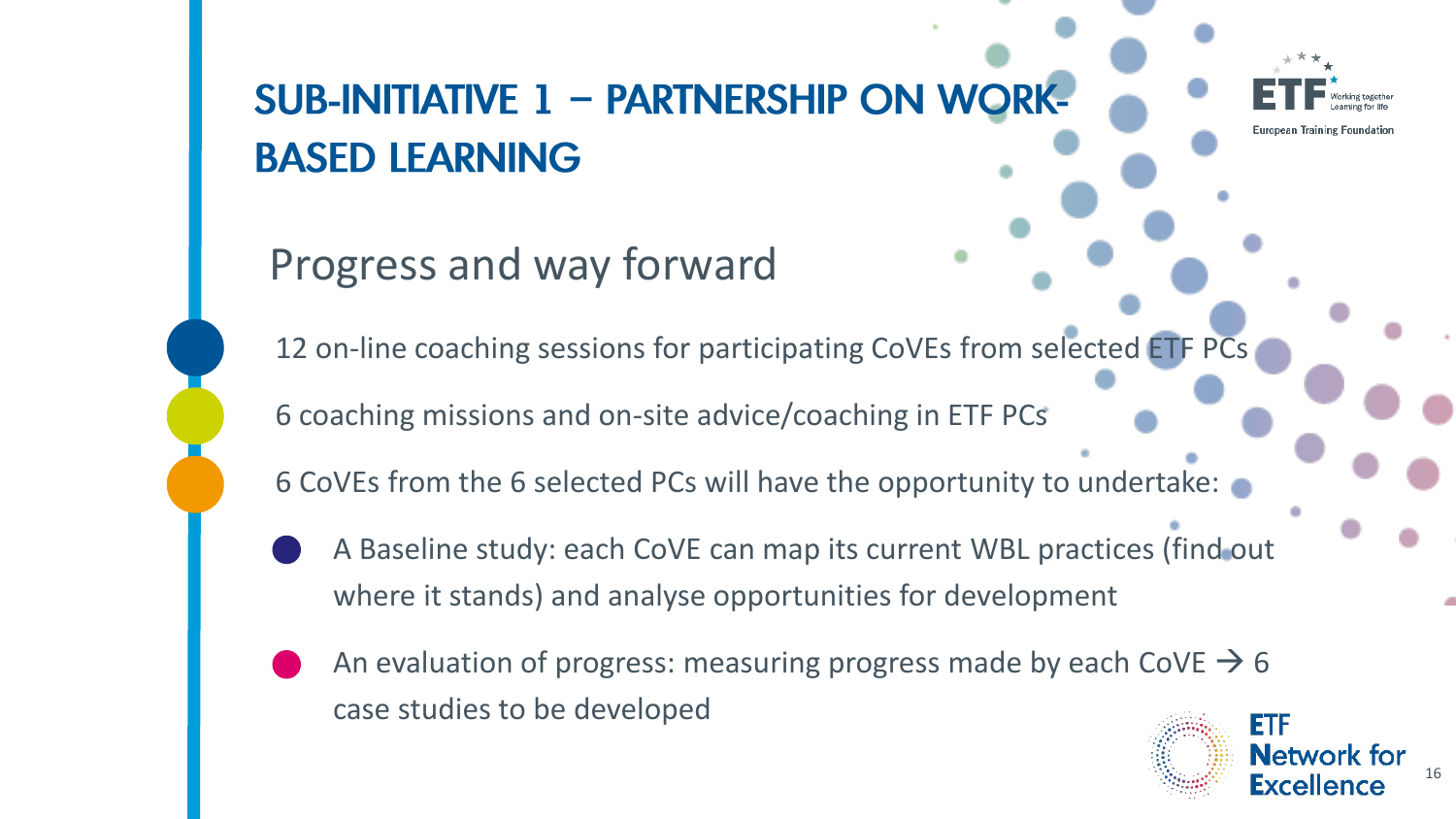#### **SUB-INITIATIVE 1 - PARTNERSHIP ON WORK-BASED LEARNING**

#### Progress and way forward

12 on-line coaching sessions for participating CoVEs from selected ETF PCs

6 coaching missions and on-site advice/coaching in ETF PCs

6 CoVEs from the 6 selected PCs will have the opportunity to undertake:

- A Baseline study: each CoVE can map its current WBL practices (find out where it stands) and analyse opportunities for development
- An evaluation of progress: measuring progress made by each CoVE  $\rightarrow$  6 case studies to be developed

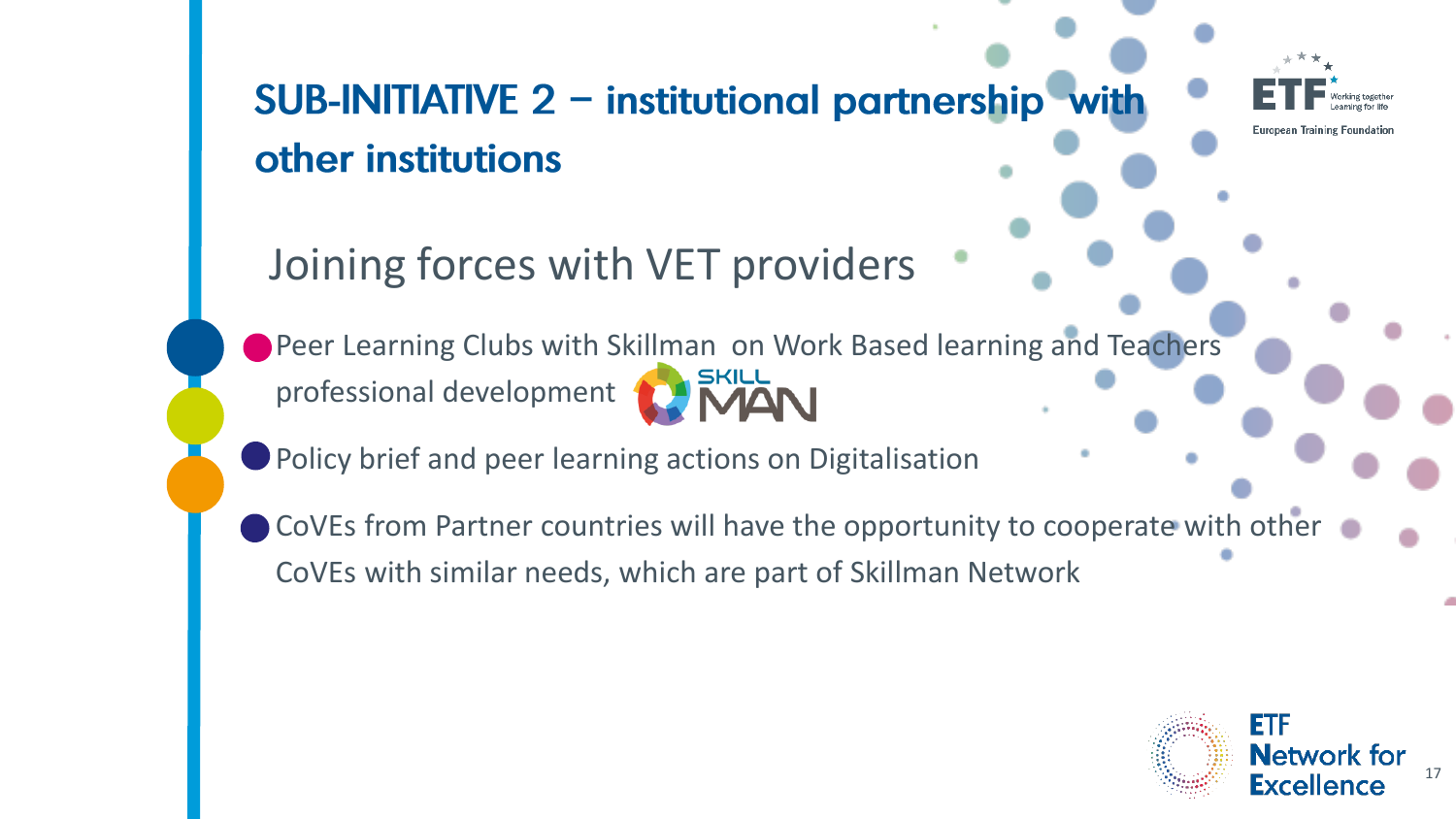SUB-INITIATIVE 2 - institutional partnership with other institutions

**European Training Foundation** 

Joining forces with VET providers

**Peer Learning Clubs with Skillman on Work Based learning and Teachers** professional development

**Policy brief and peer learning actions on Digitalisation** 

CoVEs from Partner countries will have the opportunity to cooperate with other CoVEs with similar needs, which are part of Skillman Network

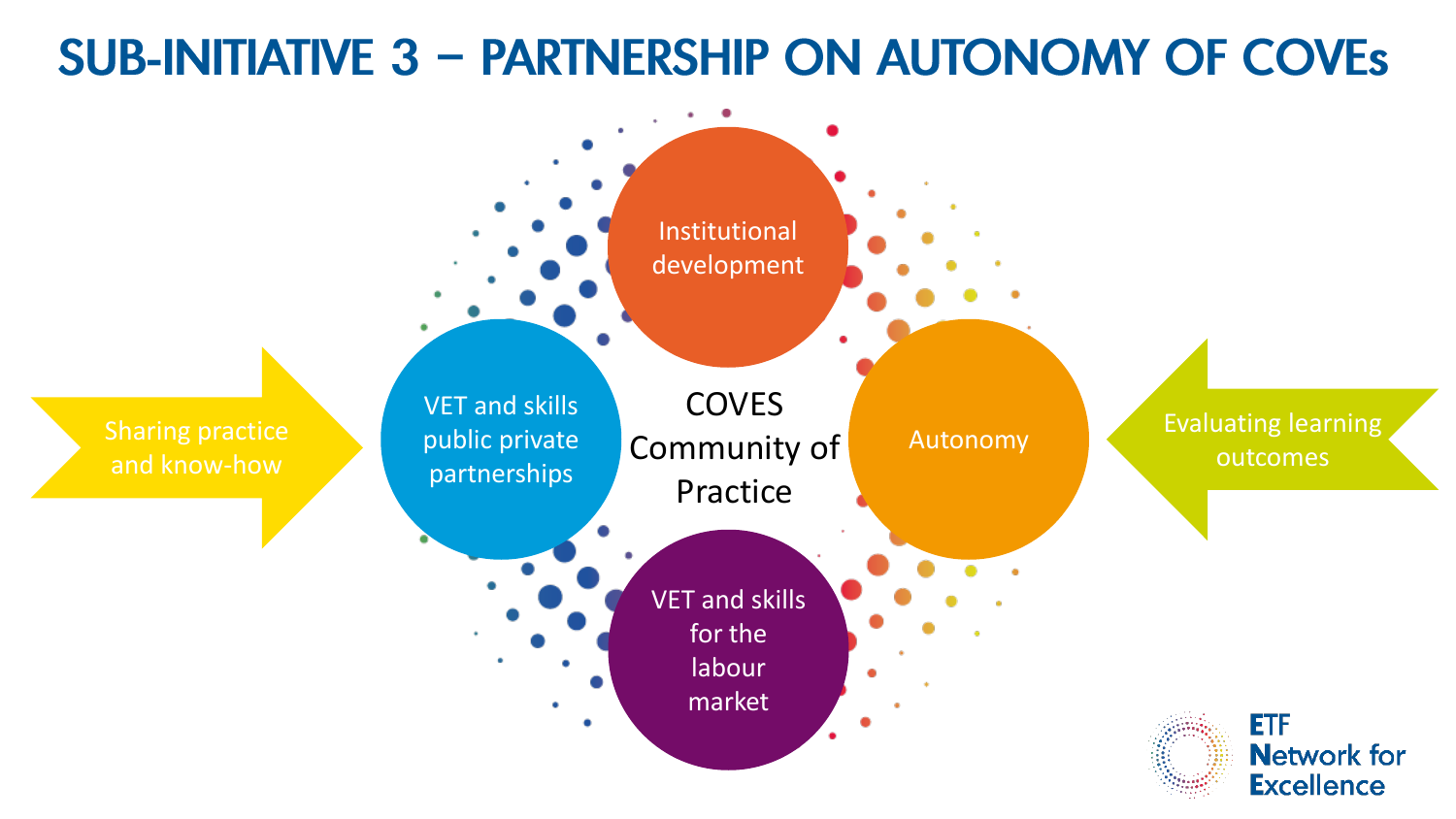#### **SUB-INITIATIVE 3 - PARTNERSHIP ON AUTONOMY OF COVES**

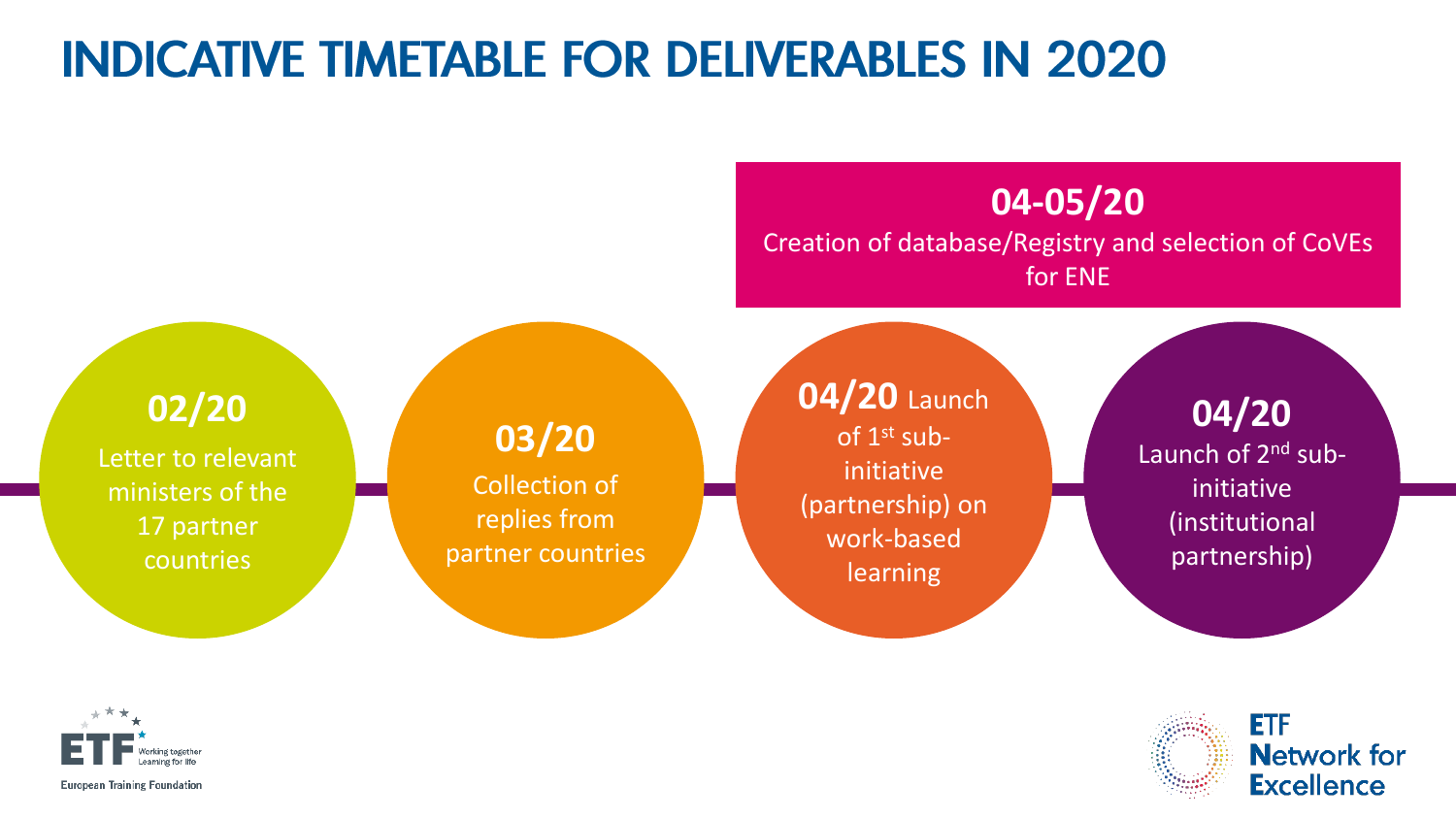#### **INDICATIVE TIMETABLE FOR DELIVERABLES IN 2020**

**04-05/20**

Creation of database/Registry and selection of CoVEs for ENE

**02/20**

Letter to relevant ministers of the 17 partner countries

**03/20** Collection of replies from partner countries **04/20** Launch of 1st subinitiative (partnership) on work-based learning

**04/20** Launch of 2<sup>nd</sup> subinitiative (institutional partnership)



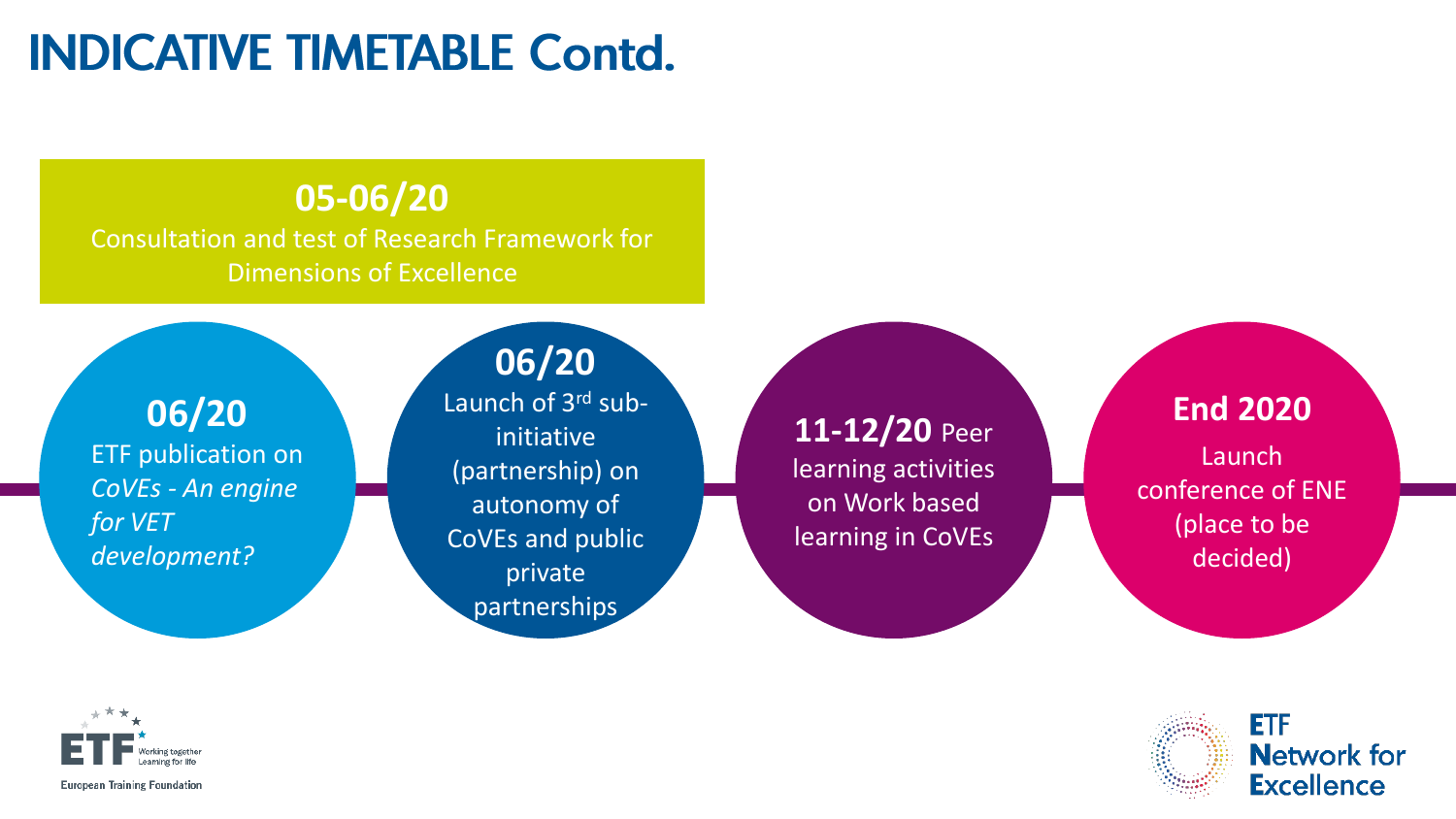## **INDICATIVE TIMETABLE Contd.**

#### **05-06/20**

Consultation and test of Research Framework for Dimensions of Excellence

**06/20** ETF publication on *CoVEs - An engine for VET development?*

#### **06/20** Launch of 3<sup>rd</sup> subinitiative (partnership) on autonomy of CoVEs and public private partnerships

**11-12/20** Peer learning activities on Work based learning in CoVEs

#### **End 2020**

Launch conference of ENE (place to be decided)